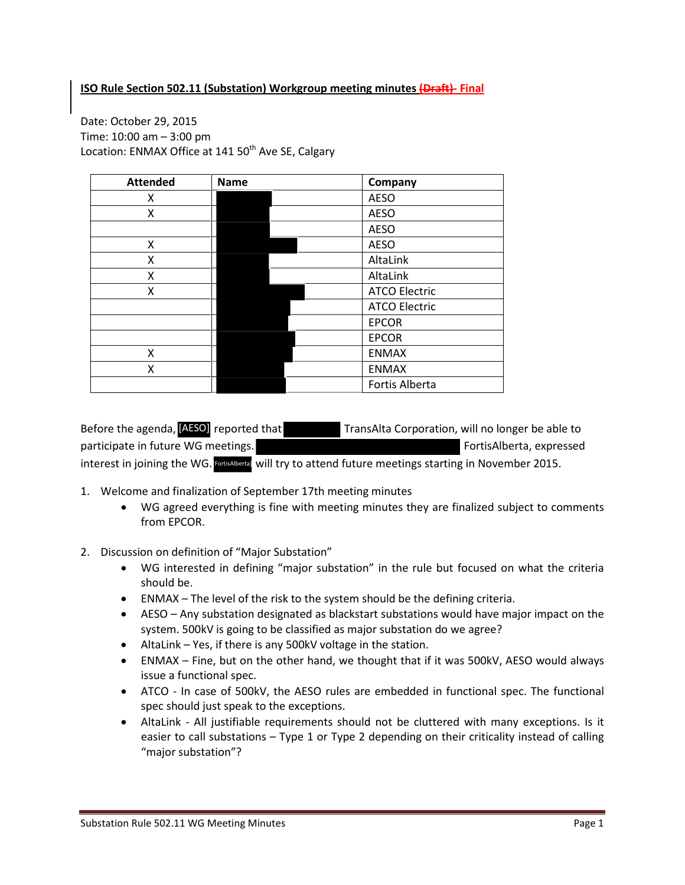## **ISO Rule Section 502.11 (Substation) Workgroup meeting minutes (Draft)- Final**

Date: October 29, 2015 Time: 10:00 am – 3:00 pm Location: ENMAX Office at 141 50<sup>th</sup> Ave SE, Calgary

| <b>Attended</b> | <b>Name</b> | Company              |  |
|-----------------|-------------|----------------------|--|
| x               |             | <b>AESO</b>          |  |
| Χ               |             | <b>AESO</b>          |  |
|                 |             | <b>AESO</b>          |  |
| X               |             | <b>AESO</b>          |  |
| Χ               |             | AltaLink             |  |
| Χ               |             | AltaLink             |  |
| X               |             | <b>ATCO Electric</b> |  |
|                 |             | <b>ATCO Electric</b> |  |
|                 |             | <b>EPCOR</b>         |  |
|                 |             | <b>EPCOR</b>         |  |
| X               |             | <b>ENMAX</b>         |  |
| X               |             | <b>ENMAX</b>         |  |
|                 |             | Fortis Alberta       |  |

TransAlta Corporation, will no longer be able to participate in future WG meetings. The matrix of the settlement of the FortisAlberta, expressed interest in joining the WG. **FortisAlberta** will try to attend future meetings starting in November 2015. Before the agenda, [AESO] reported that

- 1. Welcome and finalization of September 17th meeting minutes
	- WG agreed everything is fine with meeting minutes they are finalized subject to comments from EPCOR.
- 2. Discussion on definition of "Major Substation"
	- WG interested in defining "major substation" in the rule but focused on what the criteria should be.
	- ENMAX The level of the risk to the system should be the defining criteria.
	- AESO Any substation designated as blackstart substations would have major impact on the system. 500kV is going to be classified as major substation do we agree?
	- AltaLink Yes, if there is any 500kV voltage in the station.
	- ENMAX Fine, but on the other hand, we thought that if it was 500kV, AESO would always issue a functional spec.
	- ATCO In case of 500kV, the AESO rules are embedded in functional spec. The functional spec should just speak to the exceptions.
	- AltaLink All justifiable requirements should not be cluttered with many exceptions. Is it easier to call substations – Type 1 or Type 2 depending on their criticality instead of calling "major substation"?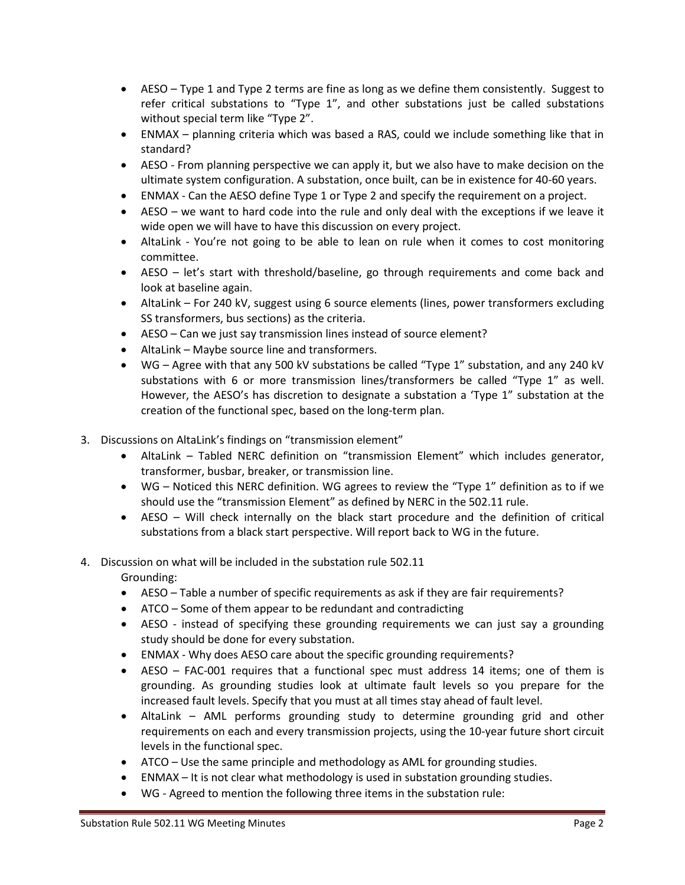- AESO Type 1 and Type 2 terms are fine as long as we define them consistently. Suggest to refer critical substations to "Type 1", and other substations just be called substations without special term like "Type 2".
- ENMAX planning criteria which was based a RAS, could we include something like that in standard?
- AESO From planning perspective we can apply it, but we also have to make decision on the ultimate system configuration. A substation, once built, can be in existence for 40-60 years.
- ENMAX Can the AESO define Type 1 or Type 2 and specify the requirement on a project.
- AESO we want to hard code into the rule and only deal with the exceptions if we leave it wide open we will have to have this discussion on every project.
- AltaLink You're not going to be able to lean on rule when it comes to cost monitoring committee.
- AESO let's start with threshold/baseline, go through requirements and come back and look at baseline again.
- AltaLink For 240 kV, suggest using 6 source elements (lines, power transformers excluding SS transformers, bus sections) as the criteria.
- AESO Can we just say transmission lines instead of source element?
- AltaLink Maybe source line and transformers.
- WG Agree with that any 500 kV substations be called "Type 1" substation, and any 240 kV substations with 6 or more transmission lines/transformers be called "Type 1" as well. However, the AESO's has discretion to designate a substation a 'Type 1" substation at the creation of the functional spec, based on the long-term plan.
- 3. Discussions on AltaLink's findings on "transmission element"
	- AltaLink Tabled NERC definition on "transmission Element" which includes generator, transformer, busbar, breaker, or transmission line.
	- WG Noticed this NERC definition. WG agrees to review the "Type 1" definition as to if we should use the "transmission Element" as defined by NERC in the 502.11 rule.
	- AESO Will check internally on the black start procedure and the definition of critical substations from a black start perspective. Will report back to WG in the future.

## 4. Discussion on what will be included in the substation rule 502.11 Grounding:

- AESO Table a number of specific requirements as ask if they are fair requirements?
- ATCO Some of them appear to be redundant and contradicting
- AESO instead of specifying these grounding requirements we can just say a grounding study should be done for every substation.
- ENMAX Why does AESO care about the specific grounding requirements?
- AESO FAC-001 requires that a functional spec must address 14 items; one of them is grounding. As grounding studies look at ultimate fault levels so you prepare for the increased fault levels. Specify that you must at all times stay ahead of fault level.
- AltaLink AML performs grounding study to determine grounding grid and other requirements on each and every transmission projects, using the 10-year future short circuit levels in the functional spec.
- ATCO Use the same principle and methodology as AML for grounding studies.
- ENMAX It is not clear what methodology is used in substation grounding studies.
- WG Agreed to mention the following three items in the substation rule: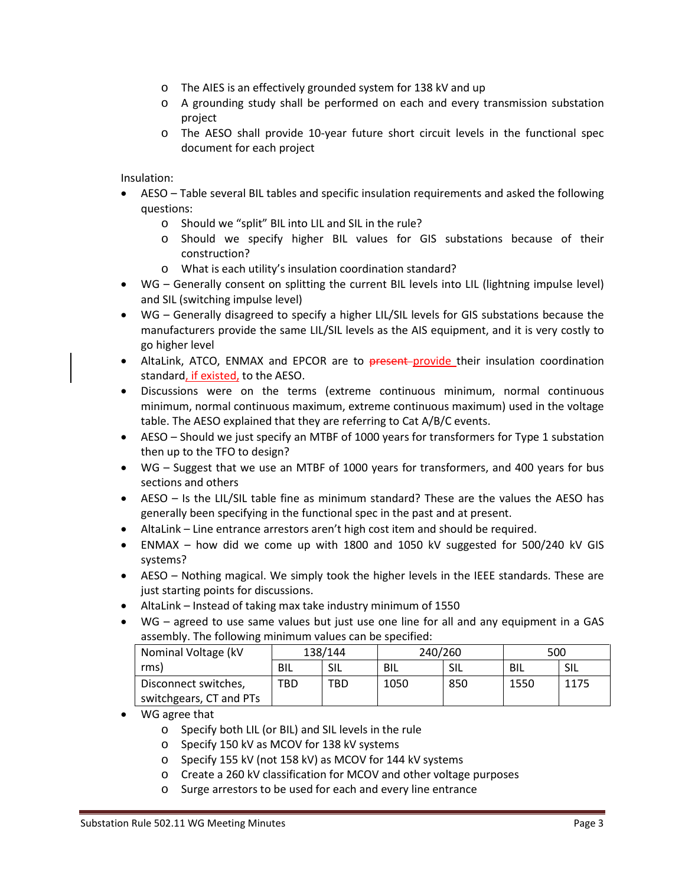- o The AIES is an effectively grounded system for 138 kV and up
- o A grounding study shall be performed on each and every transmission substation project
- o The AESO shall provide 10-year future short circuit levels in the functional spec document for each project

Insulation:

- AESO Table several BIL tables and specific insulation requirements and asked the following questions:
	- o Should we "split" BIL into LIL and SIL in the rule?
	- o Should we specify higher BIL values for GIS substations because of their construction?
	- o What is each utility's insulation coordination standard?
- WG Generally consent on splitting the current BIL levels into LIL (lightning impulse level) and SIL (switching impulse level)
- WG Generally disagreed to specify a higher LIL/SIL levels for GIS substations because the manufacturers provide the same LIL/SIL levels as the AIS equipment, and it is very costly to go higher level
- AltaLink, ATCO, ENMAX and EPCOR are to present-provide their insulation coordination standard, if existed, to the AESO.
- Discussions were on the terms (extreme continuous minimum, normal continuous minimum, normal continuous maximum, extreme continuous maximum) used in the voltage table. The AESO explained that they are referring to Cat A/B/C events.
- AESO Should we just specify an MTBF of 1000 years for transformers for Type 1 substation then up to the TFO to design?
- WG Suggest that we use an MTBF of 1000 years for transformers, and 400 years for bus sections and others
- AESO Is the LIL/SIL table fine as minimum standard? These are the values the AESO has generally been specifying in the functional spec in the past and at present.
- AltaLink Line entrance arrestors aren't high cost item and should be required.
- ENMAX how did we come up with 1800 and 1050 kV suggested for 500/240 kV GIS systems?
- AESO Nothing magical. We simply took the higher levels in the IEEE standards. These are just starting points for discussions.
- AltaLink Instead of taking max take industry minimum of 1550
- WG agreed to use same values but just use one line for all and any equipment in a GAS assembly. The following minimum values can be specified:

| Nominal Voltage (kV     | 138/144 |     | 240/260 |      | 500  |      |
|-------------------------|---------|-----|---------|------|------|------|
| rms)                    | BIL     | SIL | BIL     | -SIL | BIL  | -SIL |
| Disconnect switches,    | TBD     | TBD | 1050    | 850  | 1550 | 1175 |
| switchgears, CT and PTs |         |     |         |      |      |      |

- WG agree that
	- o Specify both LIL (or BIL) and SIL levels in the rule
	- o Specify 150 kV as MCOV for 138 kV systems
	- o Specify 155 kV (not 158 kV) as MCOV for 144 kV systems
	- o Create a 260 kV classification for MCOV and other voltage purposes
	- o Surge arrestors to be used for each and every line entrance